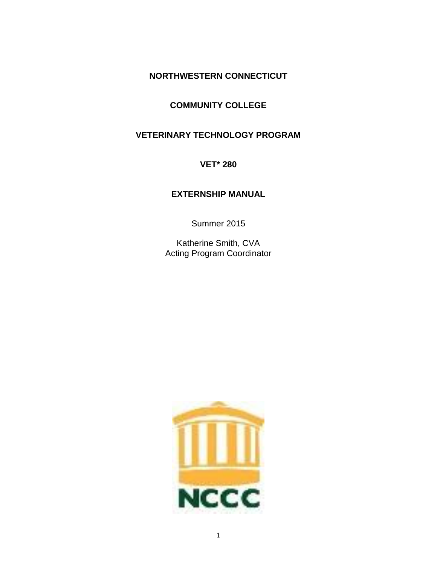### **NORTHWESTERN CONNECTICUT**

# **COMMUNITY COLLEGE**

### **VETERINARY TECHNOLOGY PROGRAM**

### **VET\* 280**

# **EXTERNSHIP MANUAL**

Summer 2015

Katherine Smith, CVA Acting Program Coordinator

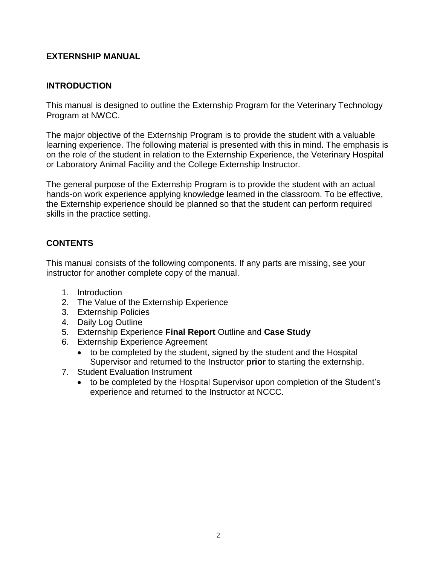# **EXTERNSHIP MANUAL**

## **INTRODUCTION**

This manual is designed to outline the Externship Program for the Veterinary Technology Program at NWCC.

The major objective of the Externship Program is to provide the student with a valuable learning experience. The following material is presented with this in mind. The emphasis is on the role of the student in relation to the Externship Experience, the Veterinary Hospital or Laboratory Animal Facility and the College Externship Instructor.

The general purpose of the Externship Program is to provide the student with an actual hands-on work experience applying knowledge learned in the classroom. To be effective, the Externship experience should be planned so that the student can perform required skills in the practice setting.

# **CONTENTS**

This manual consists of the following components. If any parts are missing, see your instructor for another complete copy of the manual.

- 1. Introduction
- 2. The Value of the Externship Experience
- 3. Externship Policies
- 4. Daily Log Outline
- 5. Externship Experience **Final Report** Outline and **Case Study**
- 6. Externship Experience Agreement
	- to be completed by the student, signed by the student and the Hospital Supervisor and returned to the Instructor **prior** to starting the externship.
- 7. Student Evaluation Instrument
	- to be completed by the Hospital Supervisor upon completion of the Student's experience and returned to the Instructor at NCCC.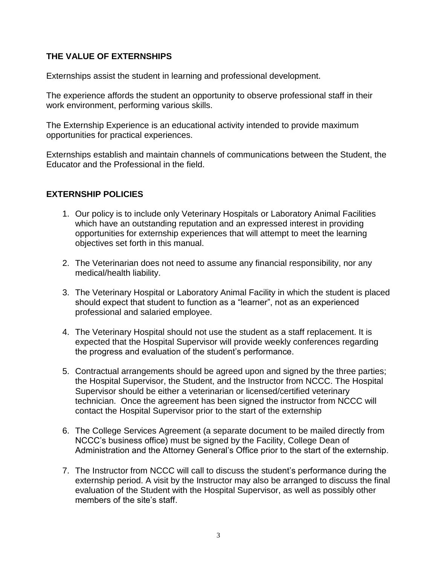## **THE VALUE OF EXTERNSHIPS**

Externships assist the student in learning and professional development.

The experience affords the student an opportunity to observe professional staff in their work environment, performing various skills.

The Externship Experience is an educational activity intended to provide maximum opportunities for practical experiences.

Externships establish and maintain channels of communications between the Student, the Educator and the Professional in the field.

## **EXTERNSHIP POLICIES**

- 1. Our policy is to include only Veterinary Hospitals or Laboratory Animal Facilities which have an outstanding reputation and an expressed interest in providing opportunities for externship experiences that will attempt to meet the learning objectives set forth in this manual.
- 2. The Veterinarian does not need to assume any financial responsibility, nor any medical/health liability.
- 3. The Veterinary Hospital or Laboratory Animal Facility in which the student is placed should expect that student to function as a "learner", not as an experienced professional and salaried employee.
- 4. The Veterinary Hospital should not use the student as a staff replacement. It is expected that the Hospital Supervisor will provide weekly conferences regarding the progress and evaluation of the student's performance.
- 5. Contractual arrangements should be agreed upon and signed by the three parties; the Hospital Supervisor, the Student, and the Instructor from NCCC. The Hospital Supervisor should be either a veterinarian or licensed/certified veterinary technician. Once the agreement has been signed the instructor from NCCC will contact the Hospital Supervisor prior to the start of the externship
- 6. The College Services Agreement (a separate document to be mailed directly from NCCC's business office) must be signed by the Facility, College Dean of Administration and the Attorney General's Office prior to the start of the externship.
- 7. The Instructor from NCCC will call to discuss the student's performance during the externship period. A visit by the Instructor may also be arranged to discuss the final evaluation of the Student with the Hospital Supervisor, as well as possibly other members of the site's staff.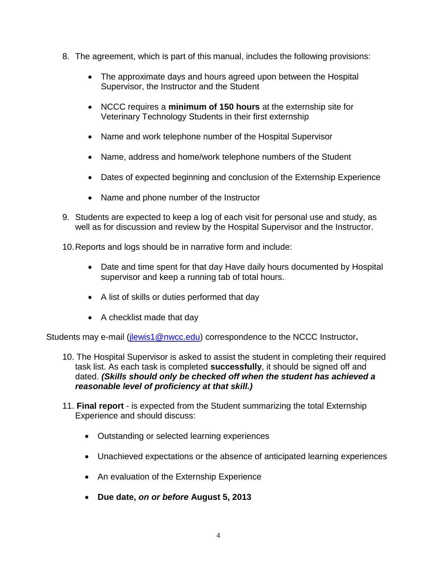- 8. The agreement, which is part of this manual, includes the following provisions:
	- The approximate days and hours agreed upon between the Hospital Supervisor, the Instructor and the Student
	- NCCC requires a **minimum of 150 hours** at the externship site for Veterinary Technology Students in their first externship
	- Name and work telephone number of the Hospital Supervisor
	- Name, address and home/work telephone numbers of the Student
	- Dates of expected beginning and conclusion of the Externship Experience
	- Name and phone number of the Instructor
- 9. Students are expected to keep a log of each visit for personal use and study, as well as for discussion and review by the Hospital Supervisor and the Instructor.

10.Reports and logs should be in narrative form and include:

- Date and time spent for that day Have daily hours documented by Hospital supervisor and keep a running tab of total hours.
- A list of skills or duties performed that day
- A checklist made that day

Students may e-mail [\(jlewis1@nwcc.edu\)](mailto:jlewis1@nwcc.edu) correspondence to the NCCC Instructor**.**

- 10. The Hospital Supervisor is asked to assist the student in completing their required task list. As each task is completed **successfully**, it should be signed off and dated. *(Skills should only be checked off when the student has achieved a reasonable level of proficiency at that skill.)*
- 11. **Final report** is expected from the Student summarizing the total Externship Experience and should discuss:
	- Outstanding or selected learning experiences
	- Unachieved expectations or the absence of anticipated learning experiences
	- An evaluation of the Externship Experience
	- **Due date,** *on or before* **August 5, 2013**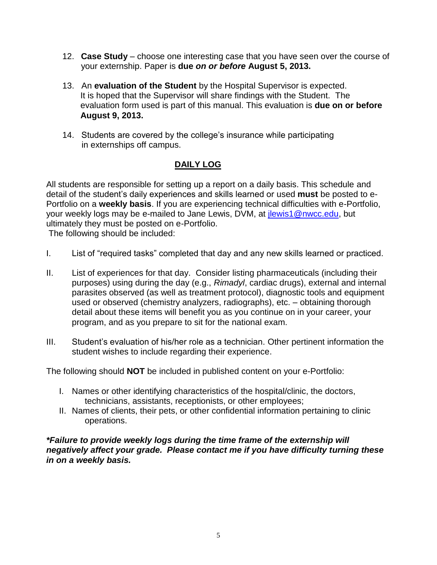- 12. **Case Study**  choose one interesting case that you have seen over the course of your externship. Paper is **due** *on or before* **August 5, 2013.**
- 13. An **evaluation of the Student** by the Hospital Supervisor is expected. It is hoped that the Supervisor will share findings with the Student. The evaluation form used is part of this manual. This evaluation is **due on or before August 9, 2013.**
- 14. Students are covered by the college's insurance while participating in externships off campus.

# **DAILY LOG**

All students are responsible for setting up a report on a daily basis. This schedule and detail of the student's daily experiences and skills learned or used **must** be posted to e-Portfolio on a **weekly basis**. If you are experiencing technical difficulties with e-Portfolio, your weekly logs may be e-mailed to Jane Lewis, DVM, at [jlewis1@nwcc.edu,](mailto:jlewis1@nwcc.edu) but ultimately they must be posted on e-Portfolio. The following should be included:

- I. List of "required tasks" completed that day and any new skills learned or practiced.
- II. List of experiences for that day. Consider listing pharmaceuticals (including their purposes) using during the day (e.g., *Rimadyl*, cardiac drugs), external and internal parasites observed (as well as treatment protocol), diagnostic tools and equipment used or observed (chemistry analyzers, radiographs), etc. – obtaining thorough detail about these items will benefit you as you continue on in your career, your program, and as you prepare to sit for the national exam.
- III. Student's evaluation of his/her role as a technician. Other pertinent information the student wishes to include regarding their experience.

The following should **NOT** be included in published content on your e-Portfolio:

- I. Names or other identifying characteristics of the hospital/clinic, the doctors, technicians, assistants, receptionists, or other employees;
- II. Names of clients, their pets, or other confidential information pertaining to clinic operations.

*\*Failure to provide weekly logs during the time frame of the externship will negatively affect your grade. Please contact me if you have difficulty turning these in on a weekly basis.*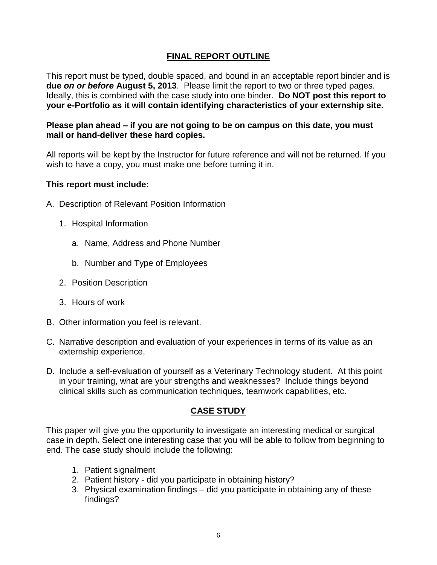## **FINAL REPORT OUTLINE**

This report must be typed, double spaced, and bound in an acceptable report binder and is **due** *on or before* **August 5, 2013**. Please limit the report to two or three typed pages. Ideally, this is combined with the case study into one binder. **Do NOT post this report to your e-Portfolio as it will contain identifying characteristics of your externship site.**

### **Please plan ahead – if you are not going to be on campus on this date, you must mail or hand-deliver these hard copies.**

All reports will be kept by the Instructor for future reference and will not be returned. If you wish to have a copy, you must make one before turning it in.

## **This report must include:**

- A. Description of Relevant Position Information
	- 1. Hospital Information
		- a. Name, Address and Phone Number
		- b. Number and Type of Employees
	- 2. Position Description
	- 3. Hours of work
- B. Other information you feel is relevant.
- C. Narrative description and evaluation of your experiences in terms of its value as an externship experience.
- D. Include a self-evaluation of yourself as a Veterinary Technology student. At this point in your training, what are your strengths and weaknesses? Include things beyond clinical skills such as communication techniques, teamwork capabilities, etc.

## **CASE STUDY**

This paper will give you the opportunity to investigate an interesting medical or surgical case in depth**.** Select one interesting case that you will be able to follow from beginning to end. The case study should include the following:

- 1. Patient signalment
- 2. Patient history did you participate in obtaining history?
- 3. Physical examination findings did you participate in obtaining any of these findings?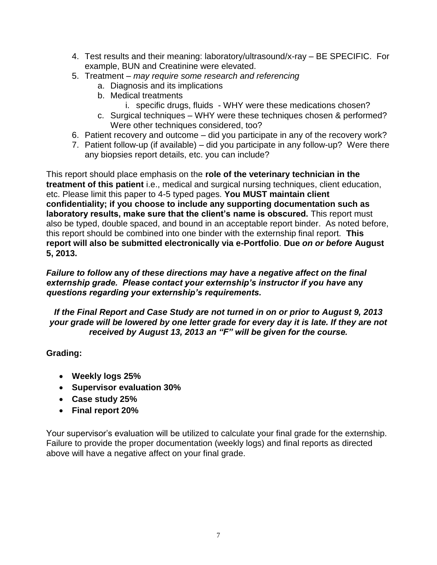- 4. Test results and their meaning: laboratory/ultrasound/x-ray BE SPECIFIC. For example, BUN and Creatinine were elevated.
- 5. Treatment *may require some research and referencing*
	- a. Diagnosis and its implications
	- b. Medical treatments
		- i. specific drugs, fluids WHY were these medications chosen?
	- c. Surgical techniques WHY were these techniques chosen & performed? Were other techniques considered, too?
- 6. Patient recovery and outcome did you participate in any of the recovery work?
- 7. Patient follow-up (if available) did you participate in any follow-up? Were there any biopsies report details, etc. you can include?

This report should place emphasis on the **role of the veterinary technician in the treatment of this patient** i.e., medical and surgical nursing techniques, client education, etc. Please limit this paper to 4-5 typed pages. **You MUST maintain client confidentiality; if you choose to include any supporting documentation such as laboratory results, make sure that the client's name is obscured.** This report must also be typed, double spaced, and bound in an acceptable report binder. As noted before, this report should be combined into one binder with the externship final report. **This report will also be submitted electronically via e-Portfolio**. **Due** *on or before* **August 5, 2013.**

### *Failure to follow* **any** *of these directions may have a negative affect on the final externship grade. Please contact your externship's instructor if you have* **any**  *questions regarding your externship's requirements.*

### *If the Final Report and Case Study are not turned in on or prior to August 9, 2013 your grade will be lowered by one letter grade for every day it is late. If they are not received by August 13, 2013 an "F" will be given for the course.*

### **Grading:**

- **Weekly logs 25%**
- **Supervisor evaluation 30%**
- **Case study 25%**
- **Final report 20%**

Your supervisor's evaluation will be utilized to calculate your final grade for the externship. Failure to provide the proper documentation (weekly logs) and final reports as directed above will have a negative affect on your final grade.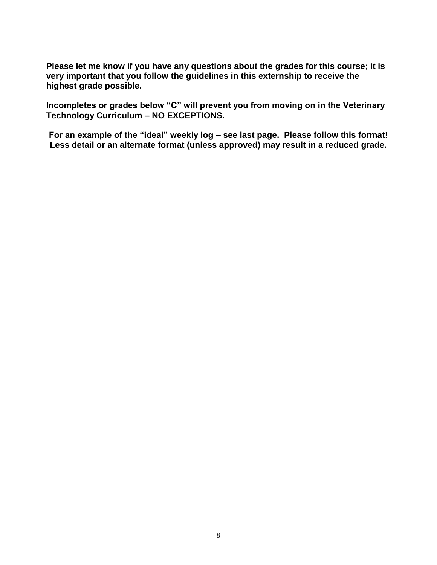**Please let me know if you have any questions about the grades for this course; it is very important that you follow the guidelines in this externship to receive the highest grade possible.**

**Incompletes or grades below "C" will prevent you from moving on in the Veterinary Technology Curriculum – NO EXCEPTIONS.**

**For an example of the "ideal" weekly log – see last page. Please follow this format! Less detail or an alternate format (unless approved) may result in a reduced grade.**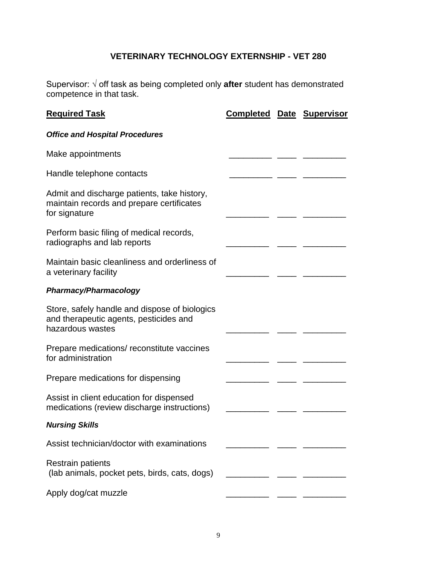# **VETERINARY TECHNOLOGY EXTERNSHIP - VET 280**

Supervisor: √ off task as being completed only **after** student has demonstrated competence in that task.

| <b>Required Task</b>                                                                                        |  | <b>Completed Date Supervisor</b> |
|-------------------------------------------------------------------------------------------------------------|--|----------------------------------|
| <b>Office and Hospital Procedures</b>                                                                       |  |                                  |
| Make appointments                                                                                           |  |                                  |
| Handle telephone contacts                                                                                   |  |                                  |
| Admit and discharge patients, take history,<br>maintain records and prepare certificates<br>for signature   |  |                                  |
| Perform basic filing of medical records,<br>radiographs and lab reports                                     |  |                                  |
| Maintain basic cleanliness and orderliness of<br>a veterinary facility                                      |  |                                  |
| <b>Pharmacy/Pharmacology</b>                                                                                |  |                                  |
| Store, safely handle and dispose of biologics<br>and therapeutic agents, pesticides and<br>hazardous wastes |  |                                  |
| Prepare medications/ reconstitute vaccines<br>for administration                                            |  |                                  |
| Prepare medications for dispensing                                                                          |  |                                  |
| Assist in client education for dispensed<br>medications (review discharge instructions)                     |  |                                  |
| <b>Nursing Skills</b>                                                                                       |  |                                  |
| Assist technician/doctor with examinations                                                                  |  |                                  |
| <b>Restrain patients</b><br>(lab animals, pocket pets, birds, cats, dogs)                                   |  |                                  |
| Apply dog/cat muzzle                                                                                        |  |                                  |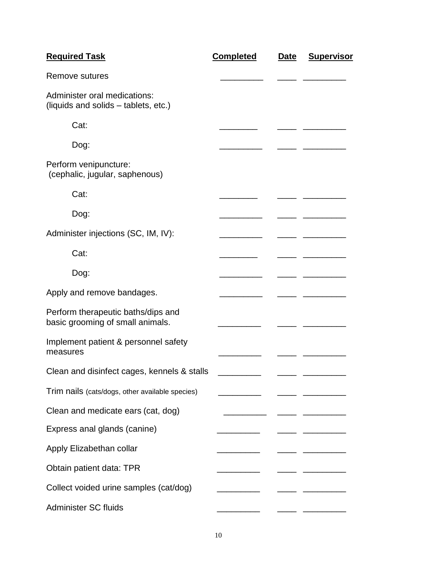| <b>Required Task</b>                                                   | <b>Completed</b>                            | Date | <b>Supervisor</b>                                                                                                     |
|------------------------------------------------------------------------|---------------------------------------------|------|-----------------------------------------------------------------------------------------------------------------------|
| Remove sutures                                                         |                                             |      |                                                                                                                       |
| Administer oral medications:<br>(liquids and solids – tablets, etc.)   |                                             |      |                                                                                                                       |
| Cat:                                                                   |                                             |      |                                                                                                                       |
| Dog:                                                                   |                                             |      |                                                                                                                       |
| Perform venipuncture:<br>(cephalic, jugular, saphenous)                |                                             |      |                                                                                                                       |
| Cat:                                                                   |                                             |      |                                                                                                                       |
| Dog:                                                                   |                                             |      |                                                                                                                       |
| Administer injections (SC, IM, IV):                                    |                                             |      |                                                                                                                       |
| Cat:                                                                   |                                             |      |                                                                                                                       |
| Dog:                                                                   |                                             |      |                                                                                                                       |
| Apply and remove bandages.                                             |                                             |      |                                                                                                                       |
| Perform therapeutic baths/dips and<br>basic grooming of small animals. |                                             |      |                                                                                                                       |
| Implement patient & personnel safety<br>measures                       |                                             |      |                                                                                                                       |
| Clean and disinfect cages, kennels & stalls                            |                                             |      |                                                                                                                       |
| Trim nails (cats/dogs, other available species)                        | <u> 1980 - Johann Barnett, fransk konge</u> |      | <u> 1989 - Jan James James, politik eta provincia eta provincia eta provincia eta provincia eta provincia eta pro</u> |
| Clean and medicate ears (cat, dog)                                     |                                             |      |                                                                                                                       |
| Express anal glands (canine)                                           |                                             |      |                                                                                                                       |
| Apply Elizabethan collar                                               |                                             |      |                                                                                                                       |
| Obtain patient data: TPR                                               |                                             |      |                                                                                                                       |
| Collect voided urine samples (cat/dog)                                 |                                             |      |                                                                                                                       |
| <b>Administer SC fluids</b>                                            |                                             |      |                                                                                                                       |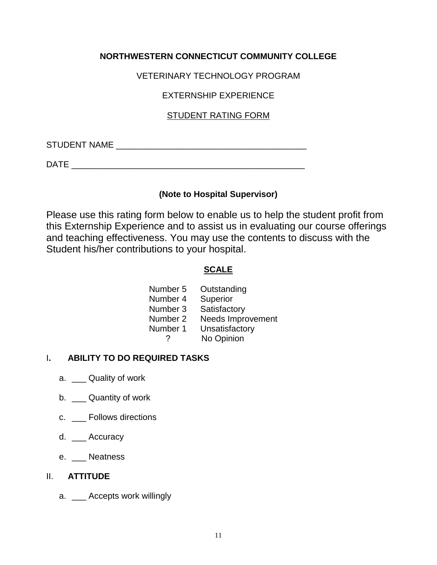# **NORTHWESTERN CONNECTICUT COMMUNITY COLLEGE**

# VETERINARY TECHNOLOGY PROGRAM

# EXTERNSHIP EXPERIENCE

# STUDENT RATING FORM

STUDENT NAME \_\_\_\_\_\_\_\_\_\_\_\_\_\_\_\_\_\_\_\_\_\_\_\_\_\_\_\_\_\_\_\_\_\_\_\_\_\_\_\_

DATE  $\overline{a}$ 

# **(Note to Hospital Supervisor)**

Please use this rating form below to enable us to help the student profit from this Externship Experience and to assist us in evaluating our course offerings and teaching effectiveness. You may use the contents to discuss with the Student his/her contributions to your hospital.

## **SCALE**

Number 5 Outstanding Number 4 Superior Number 3 Satisfactory Number 2 Needs Improvement Number 1 Unsatisfactory ? No Opinion

## I**. ABILITY TO DO REQUIRED TASKS**

- a. \_\_\_ Quality of work
- b. \_\_\_ Quantity of work
- c. **Follows directions**
- d. \_\_\_ Accuracy
- e. Neatness

## II. **ATTITUDE**

a. \_\_ Accepts work willingly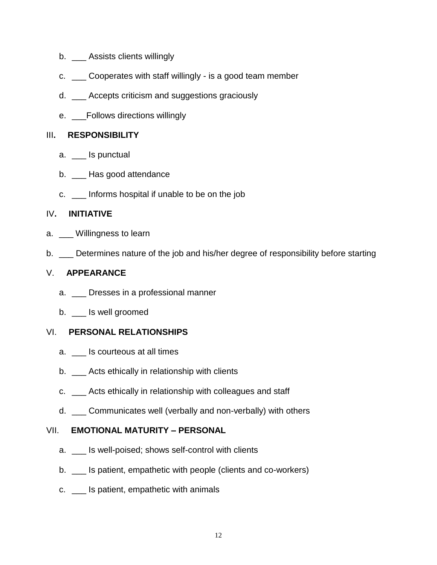- b. \_\_\_ Assists clients willingly
- c. \_\_\_ Cooperates with staff willingly is a good team member
- d. \_\_\_ Accepts criticism and suggestions graciously
- e. \_\_\_Follows directions willingly

## III**. RESPONSIBILITY**

- a. \_\_ Is punctual
- b. \_\_ Has good attendance
- c. \_\_\_ Informs hospital if unable to be on the job

## IV**. INITIATIVE**

- a. \_\_\_ Willingness to learn
- b. \_\_\_ Determines nature of the job and his/her degree of responsibility before starting

## V. **APPEARANCE**

- a. \_\_\_ Dresses in a professional manner
- b. \_\_ Is well groomed

## VI. **PERSONAL RELATIONSHIPS**

- a. **Is courteous at all times**
- b. \_\_ Acts ethically in relationship with clients
- c. \_\_\_ Acts ethically in relationship with colleagues and staff
- d. \_\_\_ Communicates well (verbally and non-verbally) with others

### VII. **EMOTIONAL MATURITY – PERSONAL**

- a. \_\_\_ Is well-poised; shows self-control with clients
- b. \_\_\_ Is patient, empathetic with people (clients and co-workers)
- c. \_\_\_ Is patient, empathetic with animals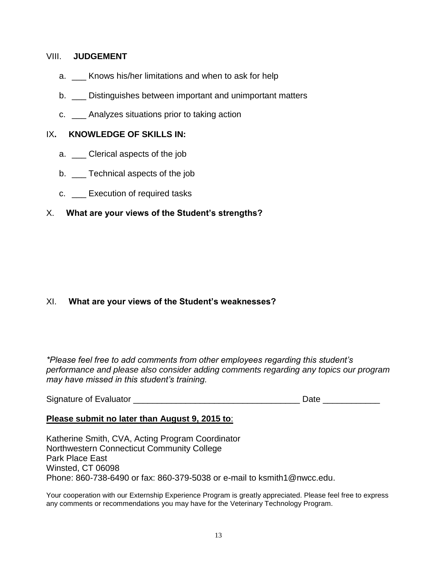### VIII. **JUDGEMENT**

- a. \_\_\_ Knows his/her limitations and when to ask for help
- b. Distinguishes between important and unimportant matters
- c. \_\_\_ Analyzes situations prior to taking action

### IX**. KNOWLEDGE OF SKILLS IN:**

- a. Clerical aspects of the job
- b. \_\_\_ Technical aspects of the job
- c. Execution of required tasks

## X. **What are your views of the Student's strengths?**

## XI. **What are your views of the Student's weaknesses?**

*\*Please feel free to add comments from other employees regarding this student's performance and please also consider adding comments regarding any topics our program may have missed in this student's training.*

| Signature of Evaluator |  |
|------------------------|--|
|------------------------|--|

### **Please submit no later than August 9, 2015 to**:

Katherine Smith, CVA, Acting Program Coordinator Northwestern Connecticut Community College Park Place East Winsted, CT 06098 Phone: 860-738-6490 or fax: 860-379-5038 or e-mail to ksmith1@nwcc.edu.

Your cooperation with our Externship Experience Program is greatly appreciated. Please feel free to express any comments or recommendations you may have for the Veterinary Technology Program.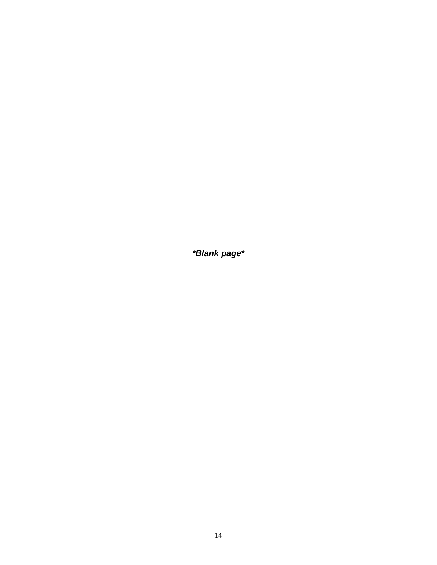*\*Blank page\**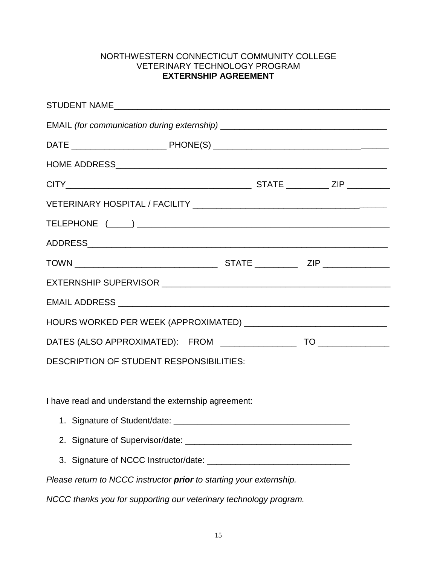### NORTHWESTERN CONNECTICUT COMMUNITY COLLEGE VETERINARY TECHNOLOGY PROGRAM **EXTERNSHIP AGREEMENT**

| <b>DESCRIPTION OF STUDENT RESPONSIBILITIES:</b>                     |  |
|---------------------------------------------------------------------|--|
|                                                                     |  |
| I have read and understand the externship agreement:                |  |
|                                                                     |  |
|                                                                     |  |
|                                                                     |  |
| Please return to NCCC instructor prior to starting your externship. |  |
| NCCC thanks you for supporting our veterinary technology program.   |  |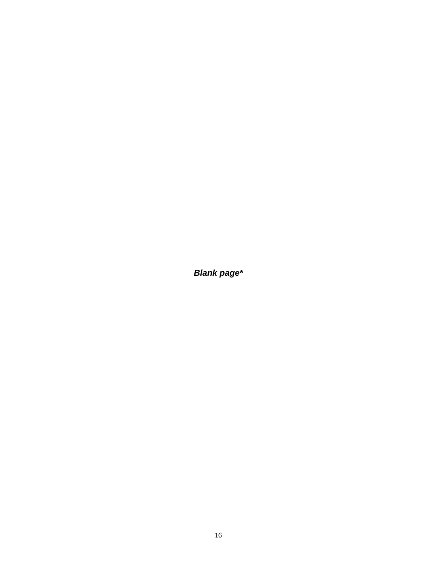*Blank page\**